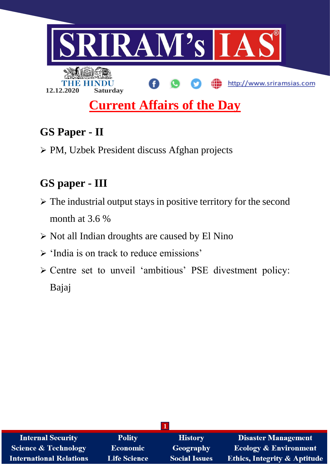

# **GS Paper - II**

PM, Uzbek President discuss Afghan projects

# **GS paper - III**

- $\triangleright$  The industrial output stays in positive territory for the second month at 3.6 %
- $\triangleright$  Not all Indian droughts are caused by El Nino
- $\triangleright$  'India is on track to reduce emissions'
- Centre set to unveil 'ambitious' PSE divestment policy: Bajaj

| <b>Internal Security</b>        | <b>Polity</b>       | <b>History</b>       | <b>Disaster Management</b>              |
|---------------------------------|---------------------|----------------------|-----------------------------------------|
| <b>Science &amp; Technology</b> | <b>Economic</b>     | <b>Geography</b>     | <b>Ecology &amp; Environment</b>        |
| <b>International Relations</b>  | <b>Life Science</b> | <b>Social Issues</b> | <b>Ethics, Integrity &amp; Aptitude</b> |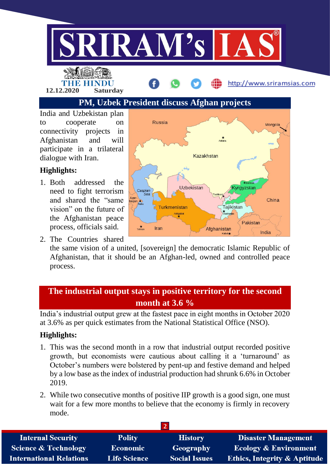

THE HINDU

**12.12.2020 Saturday**

## **PM, Uzbek President discuss Afghan projects**

India and Uzbekistan plan to cooperate on connectivity projects in Afghanistan and will participate in a trilateral dialogue with Iran.

### **Highlights:**

- 1. Both addressed the need to fight terrorism and shared the "same vision" on the future of the Afghanistan peace process, officials said.
- 2. The Countries shared



http://www.sriramsias.com

the same vision of a united, [sovereign] the democratic Islamic Republic of Afghanistan, that it should be an Afghan-led, owned and controlled peace process.

### **The industrial output stays in positive territory for the second month at 3.6 %**

India's industrial output grew at the fastest pace in eight months in October 2020 at 3.6% as per quick estimates from the National Statistical Office (NSO).

### **Highlights:**

- 1. This was the second month in a row that industrial output recorded positive growth, but economists were cautious about calling it a 'turnaround' as October's numbers were bolstered by pent-up and festive demand and helped by a low base as the index of industrial production had shrunk 6.6% in October 2019.
- 2. While two consecutive months of positive IIP growth is a good sign, one must wait for a few more months to believe that the economy is firmly in recovery mode.

| <b>Internal Security</b>        | <b>Polity</b>       | <b>History</b>       | <b>Disaster Management</b>              |
|---------------------------------|---------------------|----------------------|-----------------------------------------|
| <b>Science &amp; Technology</b> | <b>Economic</b>     | Geography            | <b>Ecology &amp; Environment</b>        |
| <b>International Relations</b>  | <b>Life Science</b> | <b>Social Issues</b> | <b>Ethics, Integrity &amp; Aptitude</b> |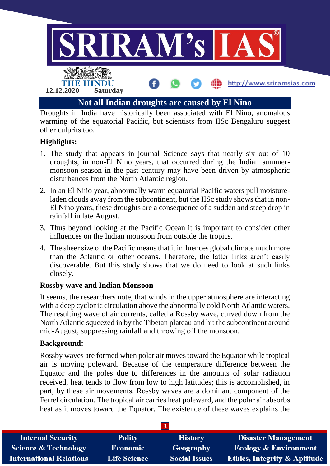

warming of the equatorial Pacific, but scientists from IISc Bengaluru suggest other culprits too.

#### **Highlights:**

- 1. The study that appears in journal Science says that nearly six out of 10 droughts, in non-El Nino years, that occurred during the Indian summermonsoon season in the past century may have been driven by atmospheric disturbances from the North Atlantic region.
- 2. In an El Niño year, abnormally warm equatorial Pacific waters pull moistureladen clouds away from the subcontinent, but the IISc study shows that in non-El Nino years, these droughts are a consequence of a sudden and steep drop in rainfall in late August.
- 3. Thus beyond looking at the Pacific Ocean it is important to consider other influences on the Indian monsoon from outside the tropics.
- 4. The sheer size of the Pacific means that it influences global climate much more than the Atlantic or other oceans. Therefore, the latter links aren't easily discoverable. But this study shows that we do need to look at such links closely.

#### **Rossby wave and Indian Monsoon**

It seems, the researchers note, that winds in the upper atmosphere are interacting with a deep cyclonic circulation above the abnormally cold North Atlantic waters. The resulting wave of air currents, called a Rossby wave, curved down from the North Atlantic squeezed in by the Tibetan plateau and hit the subcontinent around mid-August, suppressing rainfall and throwing off the monsoon.

#### **Background:**

Rossby waves are formed when polar air moves toward the Equator while tropical air is moving poleward. Because of the temperature difference between the Equator and the poles due to differences in the amounts of solar radiation received, heat tends to flow from low to high latitudes; this is accomplished, in part, by these air movements. Rossby waves are a dominant component of the Ferrel circulation. The tropical air carries heat poleward, and the polar air absorbs heat as it moves toward the Equator. The existence of these waves explains the

| <b>Internal Security</b>        | <b>Polity</b>       | <b>History</b>       | <b>Disaster Management</b>              |
|---------------------------------|---------------------|----------------------|-----------------------------------------|
| <b>Science &amp; Technology</b> | <b>Economic</b>     | Geography            | <b>Ecology &amp; Environment</b>        |
| <b>International Relations</b>  | <b>Life Science</b> | <b>Social Issues</b> | <b>Ethics, Integrity &amp; Aptitude</b> |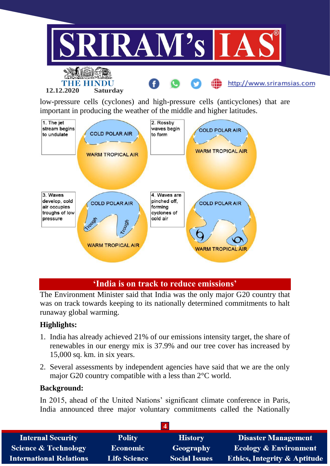

low-pressure cells (cyclones) and high-pressure cells (anticyclones) that are important in producing the weather of the middle and higher latitudes.



#### **'India is on track to reduce emissions'**

The Environment Minister said that India was the only major G20 country that was on track towards keeping to its nationally determined commitments to halt runaway global warming.

#### **Highlights:**

- 1. India has already achieved 21% of our emissions intensity target, the share of renewables in our energy mix is 37.9% and our tree cover has increased by 15,000 sq. km. in six years.
- 2. Several assessments by independent agencies have said that we are the only major G20 country compatible with a less than 2°C world.

#### **Background:**

In 2015, ahead of the United Nations' significant climate conference in Paris, India announced three major voluntary commitments called the Nationally

| <b>Internal Security</b>        | <b>Polity</b>       | <b>History</b>       | <b>Disaster Management</b>              |
|---------------------------------|---------------------|----------------------|-----------------------------------------|
| <b>Science &amp; Technology</b> | <b>Economic</b>     | Geography            | <b>Ecology &amp; Environment</b>        |
| <b>International Relations</b>  | <b>Life Science</b> | <b>Social Issues</b> | <b>Ethics, Integrity &amp; Aptitude</b> |